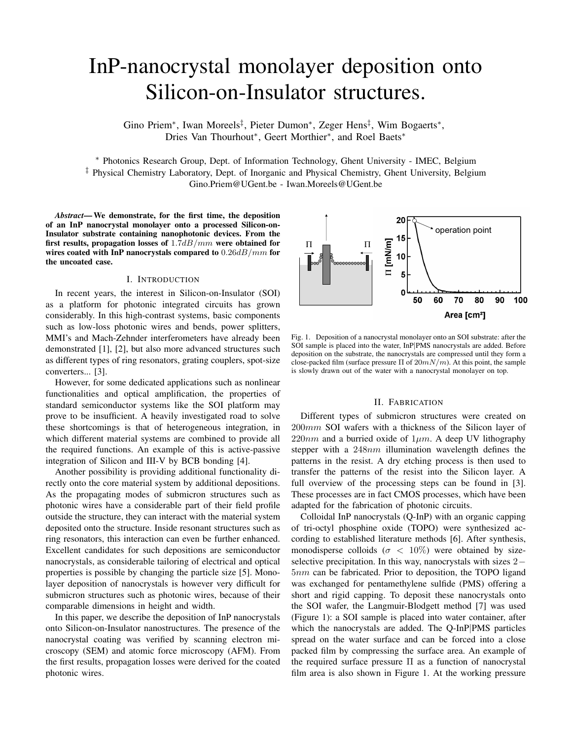# InP-nanocrystal monolayer deposition onto Silicon-on-Insulator structures.

Gino Priem∗, Iwan Moreels‡, Pieter Dumon∗, Zeger Hens‡, Wim Bogaerts∗, Dries Van Thourhout∗, Geert Morthier∗, and Roel Baets∗

∗ Photonics Research Group, Dept. of Information Technology, Ghent University - IMEC, Belgium ‡ Physical Chemistry Laboratory, Dept. of Inorganic and Physical Chemistry, Ghent University, Belgium Gino.Priem@UGent.be - Iwan.Moreels@UGent.be

*Abstract***— We demonstrate, for the first time, the deposition of an InP nanocrystal monolayer onto a processed Silicon-on-Insulator substrate containing nanophotonic devices. From the first results, propagation losses of** 1*.*7*dB/mm* **were obtained for wires coated with InP nanocrystals compared to** 0*.*26*dB/mm* **for the uncoated case.**

## I. INTRODUCTION

In recent years, the interest in Silicon-on-Insulator (SOI) as a platform for photonic integrated circuits has grown considerably. In this high-contrast systems, basic components such as low-loss photonic wires and bends, power splitters, MMI's and Mach-Zehnder interferometers have already been demonstrated [1], [2], but also more advanced structures such as different types of ring resonators, grating couplers, spot-size converters... [3].

However, for some dedicated applications such as nonlinear functionalities and optical amplification, the properties of standard semiconductor systems like the SOI platform may prove to be insufficient. A heavily investigated road to solve these shortcomings is that of heterogeneous integration, in which different material systems are combined to provide all the required functions. An example of this is active-passive integration of Silicon and III-V by BCB bonding [4].

Another possibility is providing additional functionality directly onto the core material system by additional depositions. As the propagating modes of submicron structures such as photonic wires have a considerable part of their field profile outside the structure, they can interact with the material system deposited onto the structure. Inside resonant structures such as ring resonators, this interaction can even be further enhanced. Excellent candidates for such depositions are semiconductor nanocrystals, as considerable tailoring of electrical and optical properties is possible by changing the particle size [5]. Monolayer deposition of nanocrystals is however very difficult for submicron structures such as photonic wires, because of their comparable dimensions in height and width.

In this paper, we describe the deposition of InP nanocrystals onto Silicon-on-Insulator nanostructures. The presence of the nanocrystal coating was verified by scanning electron microscopy (SEM) and atomic force microscopy (AFM). From the first results, propagation losses were derived for the coated photonic wires.



Fig. 1. Deposition of a nanocrystal monolayer onto an SOI substrate: after the SOI sample is placed into the water, InP|PMS nanocrystals are added. Before deposition on the substrate, the nanocrystals are compressed until they form a close-packed film (surface pressure Π of 20*mN/m*). At this point, the sample is slowly drawn out of the water with a nanocrystal monolayer on top.

#### II. FABRICATION

Different types of submicron structures were created on 200mm SOI wafers with a thickness of the Silicon layer of  $220nm$  and a burried oxide of  $1\mu m$ . A deep UV lithography stepper with a 248nm illumination wavelength defines the patterns in the resist. A dry etching process is then used to transfer the patterns of the resist into the Silicon layer. A full overview of the processing steps can be found in [3]. These processes are in fact CMOS processes, which have been adapted for the fabrication of photonic circuits.

Colloidal InP nanocrystals (Q-InP) with an organic capping of tri-octyl phosphine oxide (TOPO) were synthesized according to established literature methods [6]. After synthesis, monodisperse colloids ( $\sigma$  < 10%) were obtained by sizeselective precipitation. In this way, nanocrystals with sizes 2*−* 5nm can be fabricated. Prior to deposition, the TOPO ligand was exchanged for pentamethylene sulfide (PMS) offering a short and rigid capping. To deposit these nanocrystals onto the SOI wafer, the Langmuir-Blodgett method [7] was used (Figure 1): a SOI sample is placed into water container, after which the nanocrystals are added. The Q-InP*|*PMS particles spread on the water surface and can be forced into a close packed film by compressing the surface area. An example of the required surface pressure  $\Pi$  as a function of nanocrystal film area is also shown in Figure 1. At the working pressure